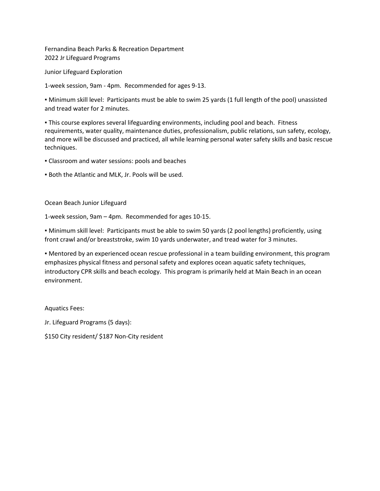Fernandina Beach Parks & Recreation Department 2022 Jr Lifeguard Programs

Junior Lifeguard Exploration

1-week session, 9am - 4pm. Recommended for ages 9-13.

▪ Minimum skill level: Participants must be able to swim 25 yards (1 full length of the pool) unassisted and tread water for 2 minutes.

▪ This course explores several lifeguarding environments, including pool and beach. Fitness requirements, water quality, maintenance duties, professionalism, public relations, sun safety, ecology, and more will be discussed and practiced, all while learning personal water safety skills and basic rescue techniques.

▪ Classroom and water sessions: pools and beaches

▪ Both the Atlantic and MLK, Jr. Pools will be used.

Ocean Beach Junior Lifeguard

1-week session, 9am – 4pm. Recommended for ages 10-15.

▪ Minimum skill level: Participants must be able to swim 50 yards (2 pool lengths) proficiently, using front crawl and/or breaststroke, swim 10 yards underwater, and tread water for 3 minutes.

▪ Mentored by an experienced ocean rescue professional in a team building environment, this program emphasizes physical fitness and personal safety and explores ocean aquatic safety techniques, introductory CPR skills and beach ecology. This program is primarily held at Main Beach in an ocean environment.

Aquatics Fees:

Jr. Lifeguard Programs (5 days):

\$150 City resident/ \$187 Non-City resident